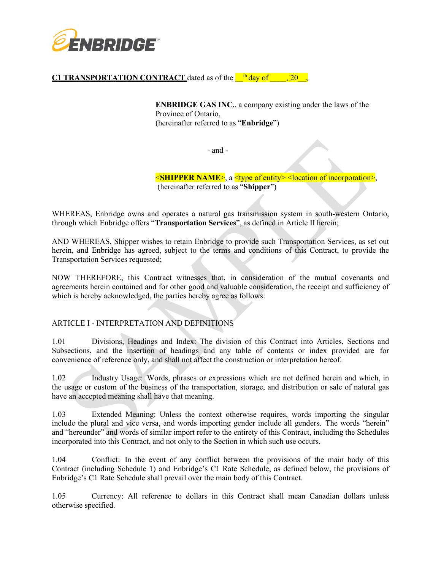

# **C1 TRANSPORTATION CONTRACT** dated as of the  $\frac{th}{d}$  day of  $\frac{1}{20}$ ,

**ENBRIDGE GAS INC.**, a company existing under the laws of the Province of Ontario, (hereinafter referred to as "**Enbridge**")

- and -

<**SHIPPER NAME**>, a <type of entity> <location of incorporation>, (hereinafter referred to as "**Shipper**")

WHEREAS, Enbridge owns and operates a natural gas transmission system in south-western Ontario, through which Enbridge offers "**Transportation Services**", as defined in Article II herein;

AND WHEREAS, Shipper wishes to retain Enbridge to provide such Transportation Services, as set out herein, and Enbridge has agreed, subject to the terms and conditions of this Contract, to provide the Transportation Services requested;

NOW THEREFORE, this Contract witnesses that, in consideration of the mutual covenants and agreements herein contained and for other good and valuable consideration, the receipt and sufficiency of which is hereby acknowledged, the parties hereby agree as follows:

## ARTICLE I - INTERPRETATION AND DEFINITIONS

1.01 Divisions, Headings and Index: The division of this Contract into Articles, Sections and Subsections, and the insertion of headings and any table of contents or index provided are for convenience of reference only, and shall not affect the construction or interpretation hereof.

1.02 Industry Usage: Words, phrases or expressions which are not defined herein and which, in the usage or custom of the business of the transportation, storage, and distribution or sale of natural gas have an accepted meaning shall have that meaning.

1.03 Extended Meaning: Unless the context otherwise requires, words importing the singular include the plural and vice versa, and words importing gender include all genders. The words "herein" and "hereunder" and words of similar import refer to the entirety of this Contract, including the Schedules incorporated into this Contract, and not only to the Section in which such use occurs.

1.04 Conflict: In the event of any conflict between the provisions of the main body of this Contract (including Schedule 1) and Enbridge's C1 Rate Schedule, as defined below, the provisions of Enbridge's C1 Rate Schedule shall prevail over the main body of this Contract.

1.05 Currency: All reference to dollars in this Contract shall mean Canadian dollars unless otherwise specified.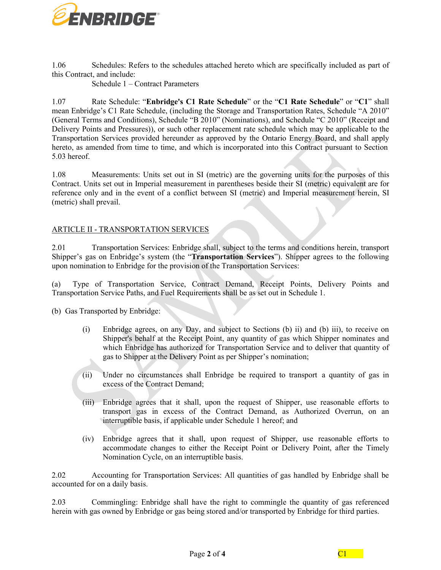

1.06 Schedules: Refers to the schedules attached hereto which are specifically included as part of this Contract, and include:

Schedule 1 – Contract Parameters

1.07 Rate Schedule: "**Enbridge's C1 Rate Schedule**" or the "**C1 Rate Schedule**" or "**C1**" shall mean Enbridge's C1 Rate Schedule, (including the Storage and Transportation Rates, Schedule "A 2010" (General Terms and Conditions), Schedule "B 2010" (Nominations), and Schedule "C 2010" (Receipt and Delivery Points and Pressures)), or such other replacement rate schedule which may be applicable to the Transportation Services provided hereunder as approved by the Ontario Energy Board, and shall apply hereto, as amended from time to time, and which is incorporated into this Contract pursuant to Section 5.03 hereof.

1.08 Measurements: Units set out in SI (metric) are the governing units for the purposes of this Contract. Units set out in Imperial measurement in parentheses beside their SI (metric) equivalent are for reference only and in the event of a conflict between SI (metric) and Imperial measurement herein, SI (metric) shall prevail.

# ARTICLE II - TRANSPORTATION SERVICES

2.01 Transportation Services: Enbridge shall, subject to the terms and conditions herein, transport Shipper's gas on Enbridge's system (the "**Transportation Services**"). Shipper agrees to the following upon nomination to Enbridge for the provision of the Transportation Services:

(a) Type of Transportation Service, Contract Demand, Receipt Points, Delivery Points and Transportation Service Paths, and Fuel Requirements shall be as set out in Schedule 1.

(b) Gas Transported by Enbridge:

- (i) Enbridge agrees, on any Day, and subject to Sections (b) ii) and (b) iii), to receive on Shipper's behalf at the Receipt Point, any quantity of gas which Shipper nominates and which Enbridge has authorized for Transportation Service and to deliver that quantity of gas to Shipper at the Delivery Point as per Shipper's nomination;
- (ii) Under no circumstances shall Enbridge be required to transport a quantity of gas in excess of the Contract Demand;
- (iii) Enbridge agrees that it shall, upon the request of Shipper, use reasonable efforts to transport gas in excess of the Contract Demand, as Authorized Overrun, on an interruptible basis, if applicable under Schedule 1 hereof; and
- (iv) Enbridge agrees that it shall, upon request of Shipper, use reasonable efforts to accommodate changes to either the Receipt Point or Delivery Point, after the Timely Nomination Cycle, on an interruptible basis.

2.02 Accounting for Transportation Services: All quantities of gas handled by Enbridge shall be accounted for on a daily basis.

2.03 Commingling: Enbridge shall have the right to commingle the quantity of gas referenced herein with gas owned by Enbridge or gas being stored and/or transported by Enbridge for third parties.

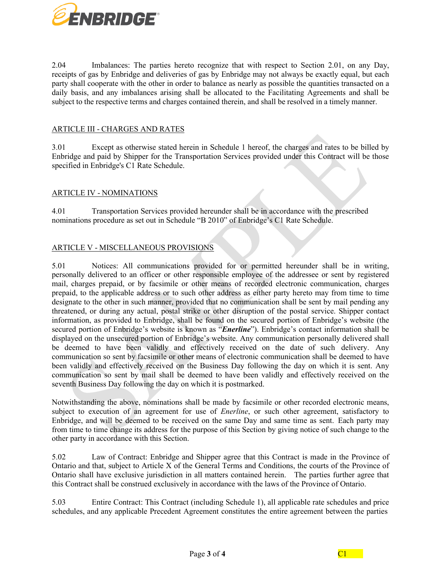

2.04 Imbalances: The parties hereto recognize that with respect to Section 2.01, on any Day, receipts of gas by Enbridge and deliveries of gas by Enbridge may not always be exactly equal, but each party shall cooperate with the other in order to balance as nearly as possible the quantities transacted on a daily basis, and any imbalances arising shall be allocated to the Facilitating Agreements and shall be subject to the respective terms and charges contained therein, and shall be resolved in a timely manner.

## ARTICLE III - CHARGES AND RATES

3.01 Except as otherwise stated herein in Schedule 1 hereof, the charges and rates to be billed by Enbridge and paid by Shipper for the Transportation Services provided under this Contract will be those specified in Enbridge's C1 Rate Schedule.

#### ARTICLE IV - NOMINATIONS

4.01 Transportation Services provided hereunder shall be in accordance with the prescribed nominations procedure as set out in Schedule "B 2010" of Enbridge's C1 Rate Schedule.

## ARTICLE V - MISCELLANEOUS PROVISIONS

5.01 Notices: All communications provided for or permitted hereunder shall be in writing, personally delivered to an officer or other responsible employee of the addressee or sent by registered mail, charges prepaid, or by facsimile or other means of recorded electronic communication, charges prepaid, to the applicable address or to such other address as either party hereto may from time to time designate to the other in such manner, provided that no communication shall be sent by mail pending any threatened, or during any actual, postal strike or other disruption of the postal service. Shipper contact information, as provided to Enbridge, shall be found on the secured portion of Enbridge's website (the secured portion of Enbridge's website is known as "*Enerline*"). Enbridge's contact information shall be displayed on the unsecured portion of Enbridge's website. Any communication personally delivered shall be deemed to have been validly and effectively received on the date of such delivery. Any communication so sent by facsimile or other means of electronic communication shall be deemed to have been validly and effectively received on the Business Day following the day on which it is sent. Any communication so sent by mail shall be deemed to have been validly and effectively received on the seventh Business Day following the day on which it is postmarked.

Notwithstanding the above, nominations shall be made by facsimile or other recorded electronic means, subject to execution of an agreement for use of *Enerline*, or such other agreement, satisfactory to Enbridge, and will be deemed to be received on the same Day and same time as sent. Each party may from time to time change its address for the purpose of this Section by giving notice of such change to the other party in accordance with this Section.

5.02 Law of Contract: Enbridge and Shipper agree that this Contract is made in the Province of Ontario and that, subject to Article X of the General Terms and Conditions, the courts of the Province of Ontario shall have exclusive jurisdiction in all matters contained herein. The parties further agree that this Contract shall be construed exclusively in accordance with the laws of the Province of Ontario.

5.03 Entire Contract: This Contract (including Schedule 1), all applicable rate schedules and price schedules, and any applicable Precedent Agreement constitutes the entire agreement between the parties

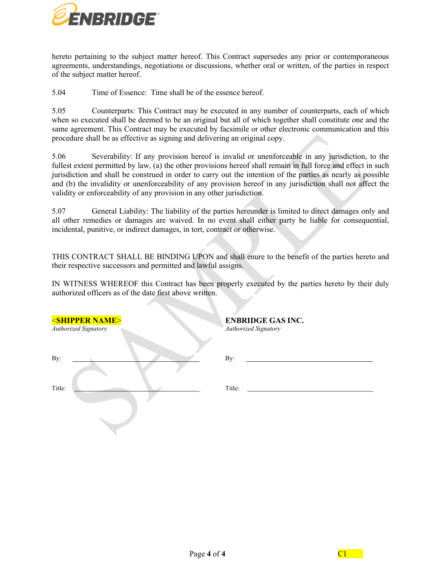

hereto pertaining to the subject matter hereof. This Contract supersedes any prior or contemporaneous agreements, understandings, negotiations or discussions, whether oral or written, of the parties in respect of the subject matter hereof.

5.04 Time of Essence: Time shall be of the essence hereof.

5.05 Counterparts: This Contract may be executed in any number of counterparts, each of which when so executed shall be deemed to be an original but all of which together shall constitute one and the same agreement. This Contract may be executed by facsimile or other electronic communication and this procedure shall be as effective as signing and delivering an original copy.

5.06 Severability: If any provision hereof is invalid or unenforceable in any jurisdiction, to the fullest extent permitted by law, (a) the other provisions hereof shall remain in full force and effect in such jurisdiction and shall be construed in order to carry out the intention of the parties as nearly as possible and (b) the invalidity or unenforceability of any provision hereof in any jurisdiction shall not affect the validity or enforceability of any provision in any other jurisdiction.

5.07 General Liability: The liability of the parties hereunder is limited to direct damages only and all other remedies or damages are waived. In no event shall either party be liable for consequential, incidental, punitive, or indirect damages, in tort, contract or otherwise.

THIS CONTRACT SHALL BE BINDING UPON and shall enure to the benefit of the parties hereto and their respective successors and permitted and lawful assigns.

IN WITNESS WHEREOF this Contract has been properly executed by the parties hereto by their duly authorized officers as of the date first above written.

| <b><shipper name=""></shipper></b><br>Authorized Signatory | <b>ENBRIDGE GAS INC.</b><br>Authorized Signatory |
|------------------------------------------------------------|--------------------------------------------------|
| By:                                                        | By:                                              |
| Title:                                                     | Title:                                           |
|                                                            |                                                  |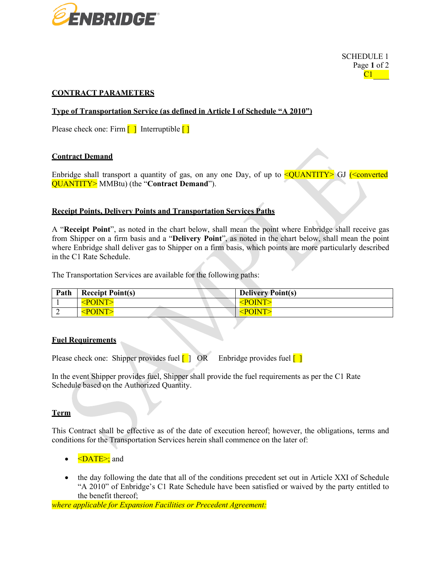

SCHEDULE 1 Page **1** of 2  $C1$ 

# **CONTRACT PARAMETERS**

**Type of Transportation Service (as defined in Article I of Schedule "A 2010")**

Please check one: Firm  $\begin{bmatrix} 1 \\ 1 \end{bmatrix}$  Interruptible  $\begin{bmatrix} 1 \\ 1 \end{bmatrix}$ 

## **Contract Demand**

Enbridge shall transport a quantity of gas, on any one Day, of up to  $\leq$ QUANTITY> GJ ( $\leq$ converted QUANTITY> MMBtu) (the "**Contract Demand**").

## **Receipt Points, Delivery Points and Transportation Services Paths**

A "**Receipt Point**", as noted in the chart below, shall mean the point where Enbridge shall receive gas from Shipper on a firm basis and a "**Delivery Point**", as noted in the chart below, shall mean the point where Enbridge shall deliver gas to Shipper on a firm basis, which points are more particularly described in the C1 Rate Schedule.

The Transportation Services are available for the following paths:

| Path | <b>Receipt Point(s)</b>                        | <b>Delivery Point(s)</b> |
|------|------------------------------------------------|--------------------------|
|      | <point:< th=""><th><b>POINT</b></th></point:<> | <b>POINT</b>             |
|      | PONT                                           | <b>POINT</b>             |

## **Fuel Requirements**

Please check one: Shipper provides fuel  $\begin{bmatrix} 1 \end{bmatrix}$  OR Enbridge provides fuel  $\begin{bmatrix} 1 \end{bmatrix}$ 

In the event Shipper provides fuel, Shipper shall provide the fuel requirements as per the C1 Rate Schedule based on the Authorized Quantity.

## **Term**

This Contract shall be effective as of the date of execution hereof; however, the obligations, terms and conditions for the Transportation Services herein shall commence on the later of:

- $\bullet \quad \leq$ DATE $\geq$ ; and
- the day following the date that all of the conditions precedent set out in Article XXI of Schedule "A 2010" of Enbridge's C1 Rate Schedule have been satisfied or waived by the party entitled to the benefit thereof;

*where applicable for Expansion Facilities or Precedent Agreement:*